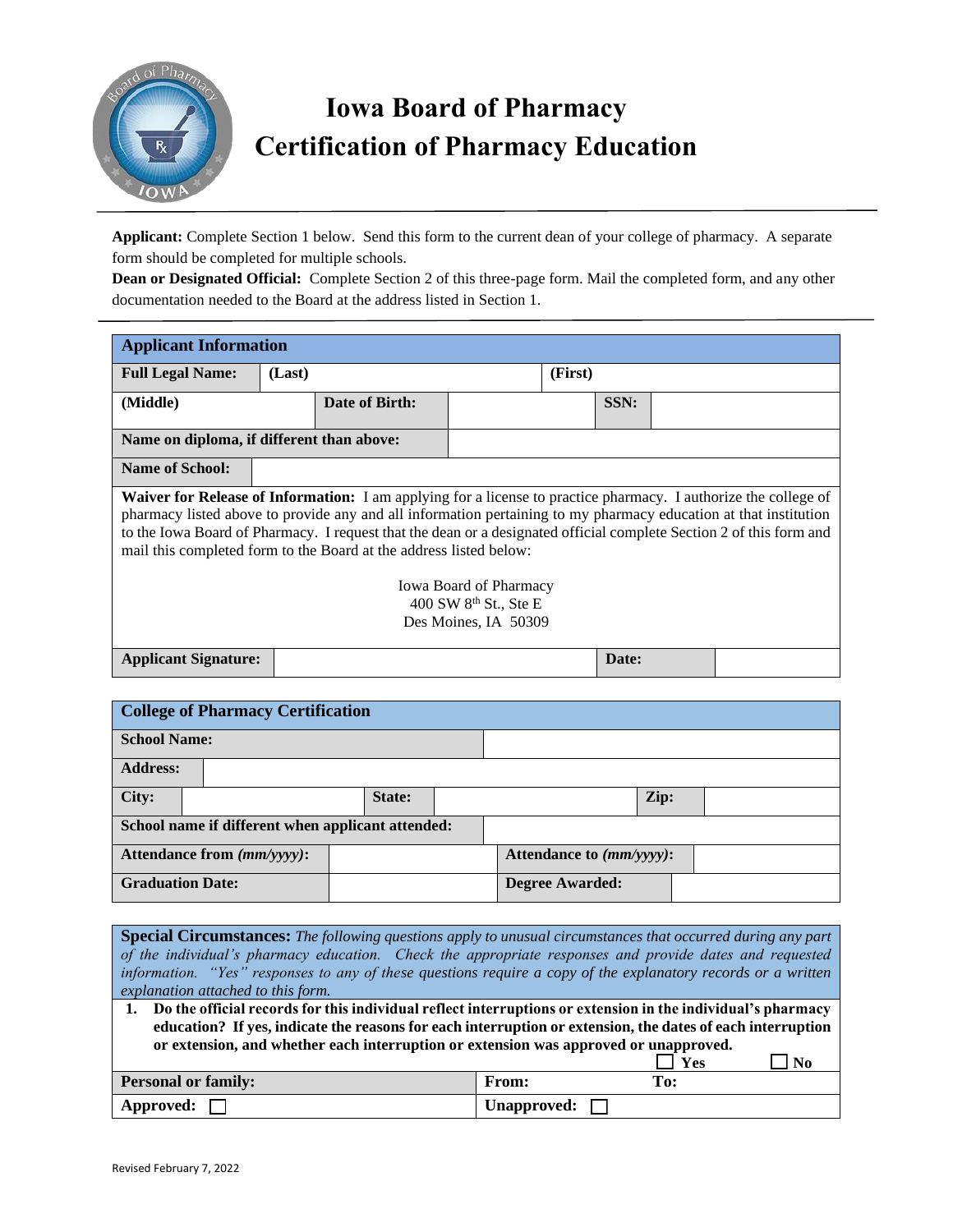

## **Iowa Board of Pharmacy Certification of Pharmacy Education**

**Applicant:** Complete Section 1 below. Send this form to the current dean of your college of pharmacy. A separate form should be completed for multiple schools.

**Dean or Designated Official:** Complete Section 2 of this three-page form. Mail the completed form, and any other documentation needed to the Board at the address listed in Section 1.

| <b>Applicant Information</b>                                                                                                                                                                                                                                                                                                                                                                                                            |        |                |  |         |       |  |
|-----------------------------------------------------------------------------------------------------------------------------------------------------------------------------------------------------------------------------------------------------------------------------------------------------------------------------------------------------------------------------------------------------------------------------------------|--------|----------------|--|---------|-------|--|
| <b>Full Legal Name:</b>                                                                                                                                                                                                                                                                                                                                                                                                                 | (Last) |                |  | (First) |       |  |
| (Middle)                                                                                                                                                                                                                                                                                                                                                                                                                                |        | Date of Birth: |  |         | SSN:  |  |
| Name on diploma, if different than above:                                                                                                                                                                                                                                                                                                                                                                                               |        |                |  |         |       |  |
| <b>Name of School:</b>                                                                                                                                                                                                                                                                                                                                                                                                                  |        |                |  |         |       |  |
| <b>Waiver for Release of Information:</b> I am applying for a license to practice pharmacy. I authorize the college of<br>pharmacy listed above to provide any and all information pertaining to my pharmacy education at that institution<br>to the Iowa Board of Pharmacy. I request that the dean or a designated official complete Section 2 of this form and<br>mail this completed form to the Board at the address listed below: |        |                |  |         |       |  |
| <b>Iowa Board of Pharmacy</b><br>400 SW 8 <sup>th</sup> St., Ste E<br>Des Moines, IA 50309                                                                                                                                                                                                                                                                                                                                              |        |                |  |         |       |  |
| <b>Applicant Signature:</b>                                                                                                                                                                                                                                                                                                                                                                                                             |        |                |  |         | Date: |  |

| <b>College of Pharmacy Certification</b> |                                                   |        |  |                             |  |  |
|------------------------------------------|---------------------------------------------------|--------|--|-----------------------------|--|--|
| <b>School Name:</b>                      |                                                   |        |  |                             |  |  |
| <b>Address:</b>                          |                                                   |        |  |                             |  |  |
| City:                                    |                                                   | State: |  | Zip:                        |  |  |
|                                          | School name if different when applicant attended: |        |  |                             |  |  |
|                                          | Attendance from (mm/yyyy):                        |        |  | Attendance to $(mm/yyyy)$ : |  |  |
| <b>Graduation Date:</b>                  |                                                   |        |  | <b>Degree Awarded:</b>      |  |  |

| <b>Special Circumstances:</b> The following questions apply to unusual circumstances that occurred during any part<br>of the individual's pharmacy education. Check the appropriate responses and provide dates and requested<br>information. "Yes" responses to any of these questions require a copy of the explanatory records or a written<br>explanation attached to this form. |              |  |  |  |
|--------------------------------------------------------------------------------------------------------------------------------------------------------------------------------------------------------------------------------------------------------------------------------------------------------------------------------------------------------------------------------------|--------------|--|--|--|
| 1. Do the official records for this individual reflect interruptions or extension in the individual's pharmacy<br>education? If yes, indicate the reasons for each interruption or extension, the dates of each interruption<br>or extension, and whether each interruption or extension was approved or unapproved.<br><b>Yes</b><br>-No                                            |              |  |  |  |
| <b>Personal or family:</b>                                                                                                                                                                                                                                                                                                                                                           | From:<br>To: |  |  |  |
| Approved:                                                                                                                                                                                                                                                                                                                                                                            | Unapproved:  |  |  |  |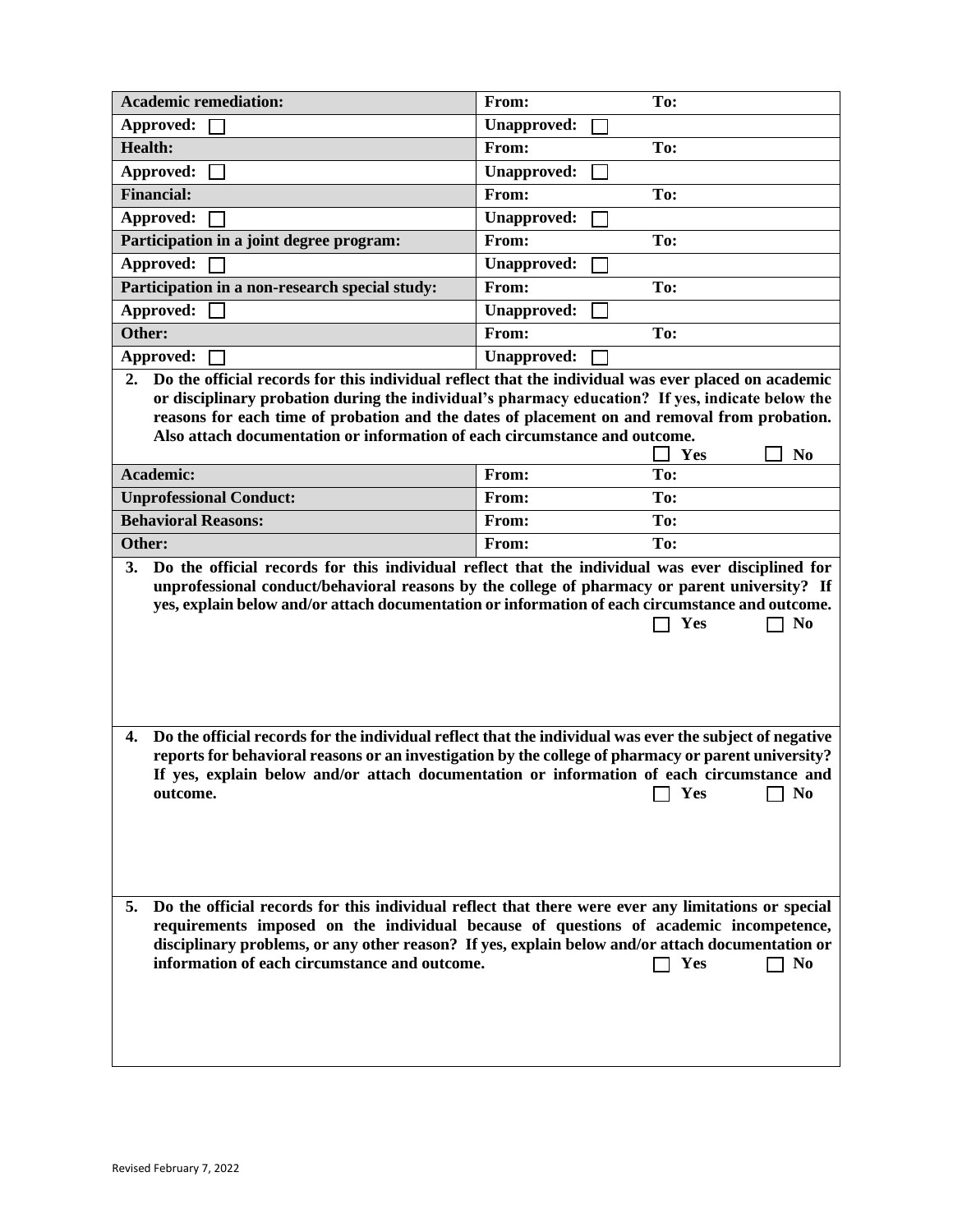| <b>Academic remediation:</b>                                                                                                                                                                                                                                                                                                  | From:              | To:                   |
|-------------------------------------------------------------------------------------------------------------------------------------------------------------------------------------------------------------------------------------------------------------------------------------------------------------------------------|--------------------|-----------------------|
| Approved:                                                                                                                                                                                                                                                                                                                     | <b>Unapproved:</b> |                       |
| <b>Health:</b>                                                                                                                                                                                                                                                                                                                | From:              | To:                   |
| Approved:                                                                                                                                                                                                                                                                                                                     | <b>Unapproved:</b> |                       |
| <b>Financial:</b>                                                                                                                                                                                                                                                                                                             | From:              | To:                   |
| Approved:                                                                                                                                                                                                                                                                                                                     | <b>Unapproved:</b> |                       |
| Participation in a joint degree program:                                                                                                                                                                                                                                                                                      | From:              | To:                   |
| Approved:                                                                                                                                                                                                                                                                                                                     | <b>Unapproved:</b> |                       |
| Participation in a non-research special study:                                                                                                                                                                                                                                                                                | From:              | To:                   |
| Approved:                                                                                                                                                                                                                                                                                                                     | <b>Unapproved:</b> |                       |
| Other:                                                                                                                                                                                                                                                                                                                        | From:              | To:                   |
| Approved:                                                                                                                                                                                                                                                                                                                     | <b>Unapproved:</b> |                       |
| or disciplinary probation during the individual's pharmacy education? If yes, indicate below the<br>reasons for each time of probation and the dates of placement on and removal from probation.<br>Also attach documentation or information of each circumstance and outcome.                                                |                    | Yes<br>N <sub>0</sub> |
| Academic:                                                                                                                                                                                                                                                                                                                     | From:              | To:                   |
|                                                                                                                                                                                                                                                                                                                               | From:              | To:                   |
| <b>Unprofessional Conduct:</b>                                                                                                                                                                                                                                                                                                |                    |                       |
| <b>Behavioral Reasons:</b>                                                                                                                                                                                                                                                                                                    | From:              | To:                   |
| Other:<br>3.<br>Do the official records for this individual reflect that the individual was ever disciplined for                                                                                                                                                                                                              | From:              | To:                   |
| unprofessional conduct/behavioral reasons by the college of pharmacy or parent university? If<br>yes, explain below and/or attach documentation or information of each circumstance and outcome.                                                                                                                              |                    | Yes<br>N <sub>0</sub> |
| Do the official records for the individual reflect that the individual was ever the subject of negative<br>4.<br>reports for behavioral reasons or an investigation by the college of pharmacy or parent university?<br>If yes, explain below and/or attach documentation or information of each circumstance and<br>outcome. |                    | Yes<br>N <sub>0</sub> |